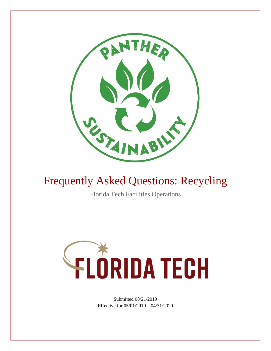

# Frequently Asked Questions: Recycling

Florida Tech Facilities Operations



Submitted 08/21/2019 Effective for 05/01/2019 – 04/31/2020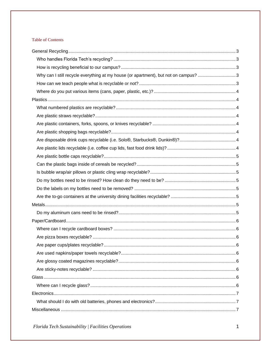### **Table of Contents**

| Why can I still recycle everything at my house (or apartment), but not on campus? 3 |  |
|-------------------------------------------------------------------------------------|--|
|                                                                                     |  |
|                                                                                     |  |
|                                                                                     |  |
|                                                                                     |  |
|                                                                                     |  |
|                                                                                     |  |
|                                                                                     |  |
|                                                                                     |  |
|                                                                                     |  |
|                                                                                     |  |
|                                                                                     |  |
|                                                                                     |  |
|                                                                                     |  |
|                                                                                     |  |
|                                                                                     |  |
|                                                                                     |  |
|                                                                                     |  |
|                                                                                     |  |
|                                                                                     |  |
|                                                                                     |  |
|                                                                                     |  |
|                                                                                     |  |
|                                                                                     |  |
|                                                                                     |  |
|                                                                                     |  |
|                                                                                     |  |
|                                                                                     |  |
|                                                                                     |  |
|                                                                                     |  |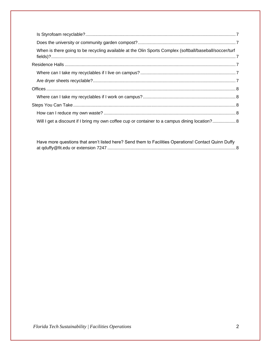| When is there going to be recycling available at the Olin Sports Complex (softball/baseball/soccer/turf |  |
|---------------------------------------------------------------------------------------------------------|--|
|                                                                                                         |  |
|                                                                                                         |  |
|                                                                                                         |  |
|                                                                                                         |  |
|                                                                                                         |  |
|                                                                                                         |  |
|                                                                                                         |  |
| Will I get a discount if I bring my own coffee cup or container to a campus dining location? 8          |  |

| Have more questions that aren't listed here? Send them to Facilities Operations! Contact Quinn Duffy |  |
|------------------------------------------------------------------------------------------------------|--|
|                                                                                                      |  |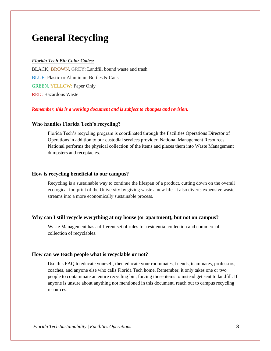### <span id="page-3-0"></span>**General Recycling**

#### *Florida Tech Bin Color Codes:*

BLACK, BROWN, GREY: Landfill bound waste and trash BLUE: Plastic or Aluminum Bottles & Cans GREEN, YELLOW: Paper Only RED: Hazardous Waste

#### <span id="page-3-1"></span>*Remember, this is a working document and is subject to changes and revision.*

#### **Who handles Florida Tech's recycling?**

Florida Tech's recycling program is coordinated through the Facilities Operations Director of Operations in addition to our custodial services provider, National Management Resources. National performs the physical collection of the items and places them into Waste Management dumpsters and receptacles.

#### <span id="page-3-2"></span>**How is recycling beneficial to our campus?**

Recycling is a sustainable way to continue the lifespan of a product, cutting down on the overall ecological footprint of the University by giving waste a new life. It also diverts expensive waste streams into a more economically sustainable process.

#### <span id="page-3-3"></span>**Why can I still recycle everything at my house (or apartment), but not on campus?**

Waste Management has a different set of rules for residential collection and commercial collection of recyclables.

#### <span id="page-3-4"></span>**How can we teach people what is recyclable or not?**

Use this FAQ to educate yourself, then educate your roommates, friends, teammates, professors, coaches, and anyone else who calls Florida Tech home. Remember, it only takes one or two people to contaminate an entire recycling bin, forcing those items to instead get sent to landfill. If anyone is unsure about anything not mentioned in this document, reach out to campus recycling resources.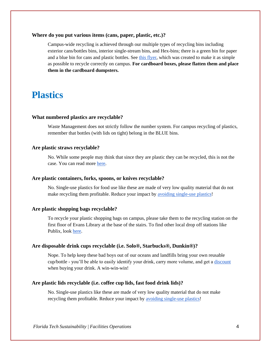#### <span id="page-4-0"></span>**Where do you put various items (cans, paper, plastic, etc.)?**

Campus-wide recycling is achieved through our multiple types of recycling bins including exterior cans/bottles bins, interior single-stream bins, and Hex-bins; there is a green bin for paper and a blue bin for cans and plastic bottles. See [this flyer,](https://drive.google.com/open?id=1zKRaogtxwyUeuOJ7uF8zaNbhUA6SSm42) which was created to make it as simple as possible to recycle correctly on campus. **For cardboard boxes, please flatten them and place them in the cardboard dumpsters.**

### <span id="page-4-1"></span>**Plastics**

#### <span id="page-4-2"></span>**What numbered plastics are recyclable?**

Waste Management does not strictly follow the number system. For campus recycling of plastics, remember that bottles (with lids on tight) belong in the BLUE bins.

#### <span id="page-4-3"></span>**Are plastic straws recyclable?**

No. While some people may think that since they are plastic they can be recycled, this is not the case. You can read more [here.](https://thelastplasticstraw.org/)

#### <span id="page-4-4"></span>**Are plastic containers, forks, spoons, or knives recyclable?**

No. Single-use plastics for food use like these are made of very low quality material that do not make recycling them profitable. Reduce your impact by [avoiding single-use plastics!](https://www.plasticpollutioncoalition.org/)

#### <span id="page-4-5"></span>**Are plastic shopping bags recyclable?**

To recycle your plastic shopping bags on campus, please take them to the recycling station on the first floor of Evans Library at the base of the stairs. To find other local drop off stations like Publix, look [here.](https://www.plasticfilmrecycling.org/recycling-bags-and-wraps/find-drop-off-location/)

#### <span id="page-4-6"></span>**Are disposable drink cups recyclable (i.e. Solo®️, Starbucks®️, Dunkin®️)?**

Nope. To help keep these bad boys out of our oceans and landfills bring your own reusable cup/bottle - you'll be able to easily identify your drink, carry more volume, and get a [discount](https://www.refinery29.com/en-us/reusable-cup-bag-bowl-discounts) when buying your drink. A win-win-win!

#### <span id="page-4-7"></span>**Are plastic lids recyclable (i.e. coffee cup lids, fast food drink lids)?**

No. Single-use plastics like these are made of very low quality material that do not make recycling them profitable. Reduce your impact by [avoiding single-use plastics!](https://www.plasticpollutioncoalition.org/)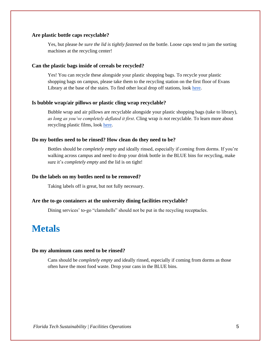#### <span id="page-5-0"></span>**Are plastic bottle caps recyclable?**

Yes, but please *be sure the lid is tightly fastened* on the bottle. Loose caps tend to jam the sorting machines at the recycling center!

#### <span id="page-5-1"></span>**Can the plastic bags inside of cereals be recycled?**

Yes! You can recycle these alongside your plastic shopping bags. To recycle your plastic shopping bags on campus, please take them to the recycling station on the first floor of Evans Library at the base of the stairs. To find other local drop off stations, look [here.](https://www.plasticfilmrecycling.org/recycling-bags-and-wraps/find-drop-off-location/)

#### <span id="page-5-2"></span>**Is bubble wrap/air pillows or plastic cling wrap recyclable?**

Bubble wrap and air pillows are recyclable alongside your plastic shopping bags (take to library), *as long as you've completely deflated it first*. Cling wrap *is not* recyclable. To learn more about recycling plastic films, look [here.](https://www.plasticfilmrecycling.org/recycling-bags-and-wraps/plastic-film-education-individuals/learn-whats-recyclable/)

#### <span id="page-5-3"></span>**Do my bottles need to be rinsed? How clean do they need to be?**

Bottles should be *completely empty* and ideally rinsed, especially if coming from dorms. If you're walking across campus and need to drop your drink bottle in the BLUE bins for recycling, make sure it's *completely empty* and the lid is on tight!

#### <span id="page-5-4"></span>**Do the labels on my bottles need to be removed?**

Taking labels off is great, but not fully necessary.

#### <span id="page-5-5"></span>**Are the to-go containers at the university dining facilities recyclable?**

Dining services' to-go "clamshells" should not be put in the recycling receptacles.

### <span id="page-5-6"></span>**Metals**

#### <span id="page-5-7"></span>**Do my aluminum cans need to be rinsed?**

Cans should be *completely empty* and ideally rinsed, especially if coming from dorms as those often have the most food waste. Drop your cans in the BLUE bins.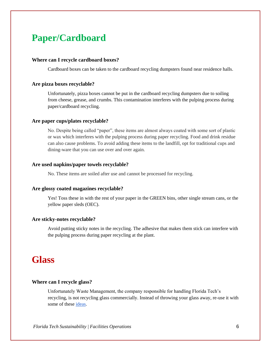# <span id="page-6-0"></span>**Paper/Cardboard**

#### <span id="page-6-1"></span>**Where can I recycle cardboard boxes?**

Cardboard boxes can be taken to the cardboard recycling dumpsters found near residence halls.

#### <span id="page-6-2"></span>**Are pizza boxes recyclable?**

Unfortunately, pizza boxes cannot be put in the cardboard recycling dumpsters due to soiling from cheese, grease, and crumbs. This contamination interferes with the pulping process during paper/cardboard recycling.

#### <span id="page-6-3"></span>**Are paper cups/plates recyclable?**

No. Despite being called "paper", these items are almost always coated with some sort of plastic or wax which interferes with the pulping process during paper recycling. Food and drink residue can also cause problems. To avoid adding these items to the landfill, opt for traditional cups and dining-ware that you can use over and over again.

#### <span id="page-6-4"></span>**Are used napkins/paper towels recyclable?**

No. These items are soiled after use and cannot be processed for recycling.

#### <span id="page-6-5"></span>**Are glossy coated magazines recyclable?**

Yes! Toss these in with the rest of your paper in the GREEN bins, other single stream cans, or the yellow paper sleds (OEC).

#### <span id="page-6-6"></span>**Are sticky-notes recyclable?**

Avoid putting sticky notes in the recycling. The adhesive that makes them stick can interfere with the pulping process during paper recycling at the plant.

### <span id="page-6-7"></span>**Glass**

#### <span id="page-6-8"></span>**Where can I recycle glass?**

Unfortunately Waste Management, the company responsible for handling Florida Tech's recycling, is not recycling glass commercially. Instead of throwing your glass away, re-use it with some of these [ideas.](https://tiphero.com/28-glass-jar-upcycling-projects)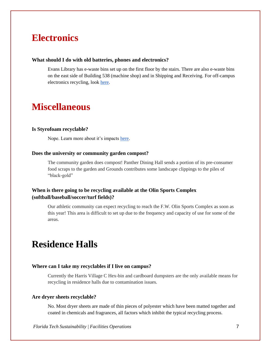### <span id="page-7-0"></span>**Electronics**

#### <span id="page-7-1"></span>**What should I do with old batteries, phones and electronics?**

Evans Library has e-waste bins set up on the first floor by the stairs. There are also e-waste bins on the east side of Building 538 (machine shop) and in Shipping and Receiving. For off-campus electronics recycling, look [here.](https://drive.google.com/file/d/1L-10ziZdDnxM_7dxbvqjp-3pnC0SfwQP/view)

### <span id="page-7-2"></span>**Miscellaneous**

#### <span id="page-7-3"></span>**Is Styrofoam recyclable?**

Nope. Learn more about it's impacts [here.](http://nomorestyrofoam.org/)

#### <span id="page-7-4"></span>**Does the university or community garden compost?**

The community garden does compost! Panther Dining Hall sends a portion of its pre-consumer food scraps to the garden and Grounds contributes some landscape clippings to the piles of "black-gold"

### <span id="page-7-5"></span>**When is there going to be recycling available at the Olin Sports Complex (softball/baseball/soccer/turf fields)?**

Our athletic community can expect recycling to reach the F.W. Olin Sports Complex as soon as this year! This area is difficult to set up due to the frequency and capacity of use for some of the areas.

### <span id="page-7-6"></span>**Residence Halls**

#### <span id="page-7-7"></span>**Where can I take my recyclables if I live on campus?**

Currently the Harris Village C Hex-bin and cardboard dumpsters are the only available means for recycling in residence halls due to contamination issues.

#### <span id="page-7-8"></span>**Are dryer sheets recyclable?**

No. Most dryer sheets are made of thin pieces of polyester which have been matted together and coated in chemicals and fragrances, all factors which inhibit the typical recycling process.